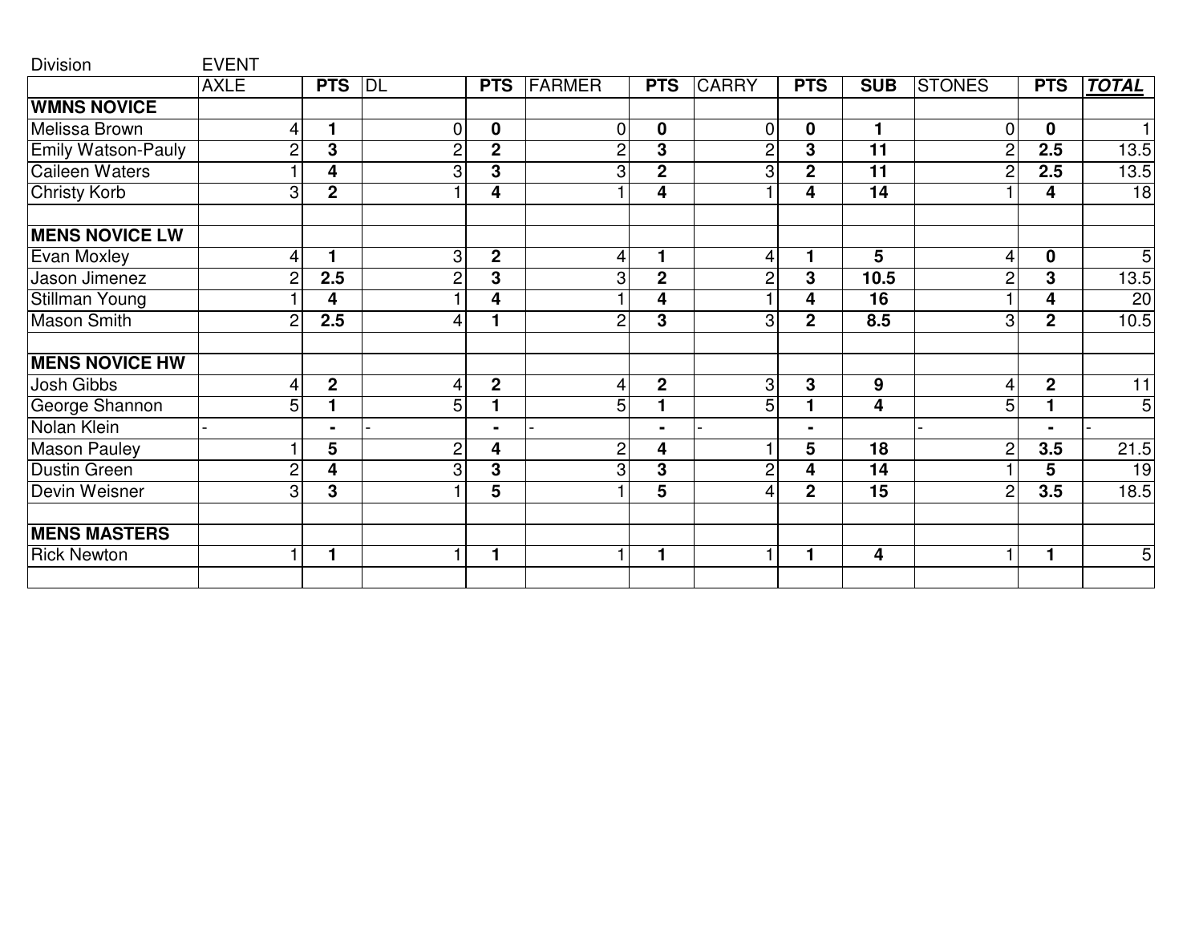| <b>Division</b>           | <b>EVENT</b>   |                |                |                         |                |                |                |                |                  |                |                |                 |
|---------------------------|----------------|----------------|----------------|-------------------------|----------------|----------------|----------------|----------------|------------------|----------------|----------------|-----------------|
|                           | <b>AXLE</b>    | <b>PTS</b>     | DL             | <b>PTS</b>              | <b>FARMER</b>  | <b>PTS</b>     | <b>CARRY</b>   | <b>PTS</b>     | <b>SUB</b>       | <b>STONES</b>  | <b>PTS</b>     | <b>TOTAL</b>    |
| <b>WMNS NOVICE</b>        |                |                |                |                         |                |                |                |                |                  |                |                |                 |
| Melissa Brown             | 4              | 1              | $\mathbf 0$    | $\mathbf 0$             | 0              | $\mathbf 0$    | 0              | $\mathbf 0$    | 1                | $\overline{0}$ | $\mathbf 0$    | 1               |
| <b>Emily Watson-Pauly</b> | 2              | 3              | $\overline{c}$ | $\mathbf 2$             | 2              | 3              | 2              | 3              | 11               | $\overline{c}$ | 2.5            | 13.5            |
| <b>Caileen Waters</b>     |                | 4              | 3              | 3                       | 3              | $\mathbf 2$    | 3              | $\overline{2}$ | 11               | $\overline{c}$ | 2.5            | 13.5            |
| <b>Christy Korb</b>       | 3              | $\overline{2}$ |                | 4                       |                | 4              |                | 4              | $\overline{14}$  |                | 4              | $\overline{18}$ |
| <b>MENS NOVICE LW</b>     |                |                |                |                         |                |                |                |                |                  |                |                |                 |
| <b>Evan Moxley</b>        | 4              | 1              | 3              | $\boldsymbol{2}$        | 4              |                | 4              | 1              | 5                | 4              | $\mathbf 0$    | $\overline{5}$  |
| Jason Jimenez             | 2              | 2.5            | $\overline{c}$ | 3                       | 3              | $\mathbf 2$    | 2              | 3              | 10.5             | $\overline{c}$ | 3              | 13.5            |
| <b>Stillman Young</b>     |                | 4              |                | 4                       |                | 4              |                | 4              | $\overline{16}$  |                | 4              | $\overline{20}$ |
| <b>Mason Smith</b>        | $\overline{c}$ | 2.5            | 4              |                         | $\overline{2}$ | 3              | 3              | $\mathbf{2}$   | 8.5              | 3              | $\mathbf{2}$   | 10.5            |
| <b>MENS NOVICE HW</b>     |                |                |                |                         |                |                |                |                |                  |                |                |                 |
| Josh Gibbs                | 4              | $\mathbf 2$    | 4              | $\mathbf 2$             | 4              | $\mathbf 2$    | 3              | 3              | $\boldsymbol{9}$ | $\overline{4}$ | $\mathbf{2}$   | 11              |
| George Shannon            | 5              |                | 5              |                         | 5              |                | 5              | 1              | 4                | 5              | 1              | $\mathbf 5$     |
| Nolan Klein               |                | $\blacksquare$ |                | $\blacksquare$          |                | $\blacksquare$ |                | $\blacksquare$ |                  |                | $\blacksquare$ |                 |
| <b>Mason Pauley</b>       |                | $\overline{5}$ | $\overline{c}$ | 4                       | $\overline{c}$ | 4              |                | $\overline{5}$ | $\overline{18}$  | $\overline{2}$ | 3.5            | 21.5            |
| <b>Dustin Green</b>       | $\overline{2}$ | 4              | $\overline{3}$ | $\overline{3}$          | 3              | 3              | $\overline{c}$ | 4              | 14               |                | 5              | $\overline{19}$ |
| Devin Weisner             | 3              | $\overline{3}$ |                | $\overline{\mathbf{5}}$ |                | $\overline{5}$ | 4              | $\mathbf{2}$   | $\overline{15}$  | $\overline{2}$ | 3.5            | 18.5            |
| <b>MENS MASTERS</b>       |                |                |                |                         |                |                |                |                |                  |                |                |                 |
| <b>Rick Newton</b>        |                | 1              | 1              | 1                       |                |                |                | 1              | 4                | 1              | 1              | 5               |